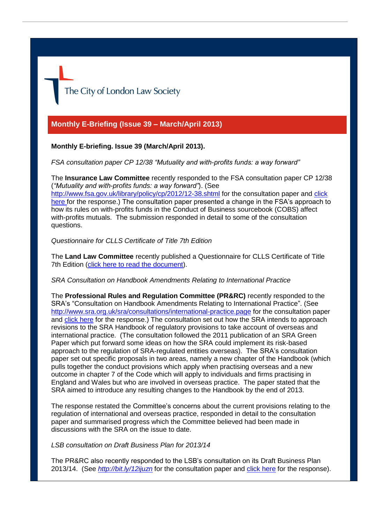

# **Monthly E-Briefing (Issue 39 – March/April 2013)**

## **Monthly E-briefing. Issue 39 (March/April 2013).**

*FSA consultation paper CP 12/38 "Mutuality and with-profits funds: a way forward"*

The **Insurance Law Committee** recently responded to the FSA consultation paper CP 12/38 (*"Mutuality and with-profits funds: a way forward"*). (See <http://www.fsa.gov.uk/library/policy/cp/2012/12-38.shtml> for the consultation paper and click [here f](http://www.citysolicitors.org.uk/FileServer.aspx?oID=1354&lID=0)or the response.) The consultation paper presented a change in the FSA's approach to how its rules on with-profits funds in the Conduct of Business sourcebook (COBS) affect with-profits mutuals. The submission responded in detail to some of the consultation questions.

## *Questionnaire for CLLS Certificate of Title 7th Edition*

The **Land Law Committee** recently published a Questionnaire for CLLS Certificate of Title 7th Edition [\(click here to read the document\)](http://www.citysolicitors.org.uk/Default.aspx?sID=923&lID=0).

## *SRA Consultation on Handbook Amendments Relating to International Practice*

The **Professional Rules and Regulation Committee (PR&RC)** recently responded to the SRA's "Consultation on Handbook Amendments Relating to International Practice". (See <http://www.sra.org.uk/sra/consultations/international-practice.page> for the consultation paper and [click here](http://www.citysolicitors.org.uk/FileServer.aspx?oID=1360&lID=0) for the response.) The consultation set out how the SRA intends to approach revisions to the SRA Handbook of regulatory provisions to take account of overseas and international practice. (The consultation followed the 2011 publication of an SRA Green Paper which put forward some ideas on how the SRA could implement its risk-based approach to the regulation of SRA-regulated entities overseas). The SRA's consultation paper set out specific proposals in two areas, namely a new chapter of the Handbook (which pulls together the conduct provisions which apply when practising overseas and a new outcome in chapter 7 of the Code which will apply to individuals and firms practising in England and Wales but who are involved in overseas practice. The paper stated that the SRA aimed to introduce any resulting changes to the Handbook by the end of 2013.

The response restated the Committee's concerns about the current provisions relating to the regulation of international and overseas practice, responded in detail to the consultation paper and summarised progress which the Committee believed had been made in discussions with the SRA on the issue to date.

## *LSB consultation on Draft Business Plan for 2013/14*

The PR&RC also recently responded to the LSB's consultation on its Draft Business Plan 2013/14. (See *<http://bit.ly/12ijuzn>* for the consultation paper and [click here](http://www.citysolicitors.org.uk/FileServer.aspx?oID=1350&lID=0) for the response).